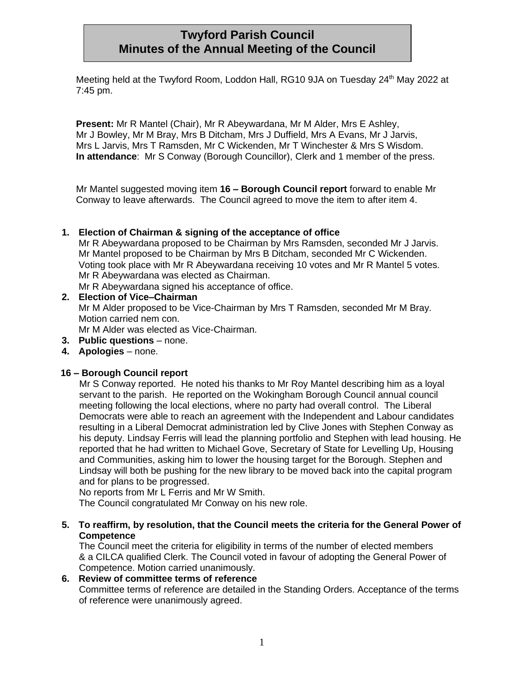# **Twyford Parish Council Minutes of the Annual Meeting of the Council**

Meeting held at the Twyford Room, Loddon Hall, RG10 9JA on Tuesday 24<sup>th</sup> May 2022 at 7:45 pm.

**Present:** Mr R Mantel (Chair), Mr R Abeywardana, Mr M Alder, Mrs E Ashley, Mr J Bowley, Mr M Bray, Mrs B Ditcham, Mrs J Duffield, Mrs A Evans, Mr J Jarvis, Mrs L Jarvis, Mrs T Ramsden, Mr C Wickenden, Mr T Winchester & Mrs S Wisdom. **In attendance**: Mr S Conway (Borough Councillor), Clerk and 1 member of the press.

Mr Mantel suggested moving item **16 – Borough Council report** forward to enable Mr Conway to leave afterwards. The Council agreed to move the item to after item 4.

### **1. Election of Chairman & signing of the acceptance of office**

Mr R Abeywardana proposed to be Chairman by Mrs Ramsden, seconded Mr J Jarvis. Mr Mantel proposed to be Chairman by Mrs B Ditcham, seconded Mr C Wickenden. Voting took place with Mr R Abeywardana receiving 10 votes and Mr R Mantel 5 votes. Mr R Abeywardana was elected as Chairman.

Mr R Abeywardana signed his acceptance of office.

**2. Election of Vice–Chairman** Mr M Alder proposed to be Vice-Chairman by Mrs T Ramsden, seconded Mr M Bray. Motion carried nem con. Mr M Alder was elected as Vice-Chairman.

- **3. Public questions** none.
- **4. Apologies** none.

### **16 – Borough Council report**

Mr S Conway reported. He noted his thanks to Mr Roy Mantel describing him as a loyal servant to the parish. He reported on the Wokingham Borough Council annual council meeting following the local elections, where no party had overall control. The Liberal Democrats were able to reach an agreement with the Independent and Labour candidates resulting in a Liberal Democrat administration led by Clive Jones with Stephen Conway as his deputy. Lindsay Ferris will lead the planning portfolio and Stephen with lead housing. He reported that he had written to Michael Gove, Secretary of State for Levelling Up, Housing and Communities, asking him to lower the housing target for the Borough. Stephen and Lindsay will both be pushing for the new library to be moved back into the capital program and for plans to be progressed.

No reports from Mr L Ferris and Mr W Smith.

The Council congratulated Mr Conway on his new role.

**5. To reaffirm, by resolution, that the Council meets the criteria for the General Power of Competence**

The Council meet the criteria for eligibility in terms of the number of elected members & a CILCA qualified Clerk. The Council voted in favour of adopting the General Power of Competence. Motion carried unanimously.

### **6. Review of committee terms of reference** Committee terms of reference are detailed in the Standing Orders. Acceptance of the terms of reference were unanimously agreed.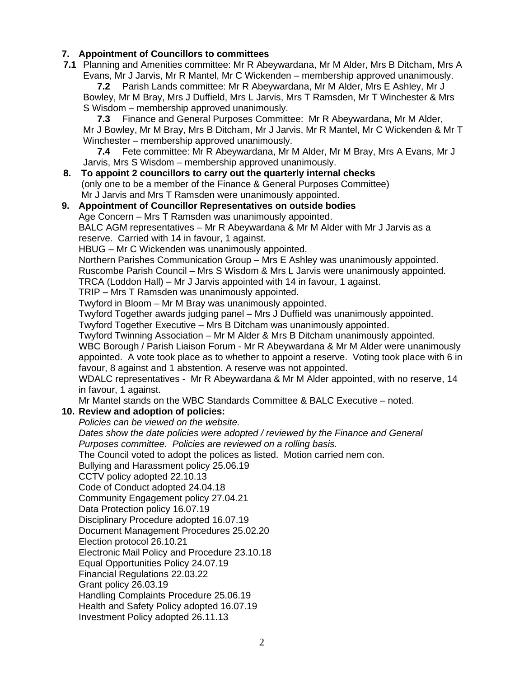## **7. Appointment of Councillors to committees**

**7.1** Planning and Amenities committee: Mr R Abeywardana, Mr M Alder, Mrs B Ditcham, Mrs A Evans, Mr J Jarvis, Mr R Mantel, Mr C Wickenden – membership approved unanimously.

**7.2** Parish Lands committee: Mr R Abeywardana, Mr M Alder, Mrs E Ashley, Mr J Bowley, Mr M Bray, Mrs J Duffield, Mrs L Jarvis, Mrs T Ramsden, Mr T Winchester & Mrs S Wisdom – membership approved unanimously.

**7.3** Finance and General Purposes Committee: Mr R Abeywardana, Mr M Alder, Mr J Bowley, Mr M Bray, Mrs B Ditcham, Mr J Jarvis, Mr R Mantel, Mr C Wickenden & Mr T Winchester – membership approved unanimously.

**7.4** Fete committee: Mr R Abeywardana, Mr M Alder, Mr M Bray, Mrs A Evans, Mr J Jarvis, Mrs S Wisdom – membership approved unanimously.

**8. To appoint 2 councillors to carry out the quarterly internal checks** (only one to be a member of the Finance & General Purposes Committee) Mr J Jarvis and Mrs T Ramsden were unanimously appointed.

## **9. Appointment of Councillor Representatives on outside bodies** Age Concern – Mrs T Ramsden was unanimously appointed. BALC AGM representatives – Mr R Abeywardana & Mr M Alder with Mr J Jarvis as a reserve. Carried with 14 in favour, 1 against.

HBUG – Mr C Wickenden was unanimously appointed.

Northern Parishes Communication Group – Mrs E Ashley was unanimously appointed. Ruscombe Parish Council – Mrs S Wisdom & Mrs L Jarvis were unanimously appointed.

TRCA (Loddon Hall) – Mr J Jarvis appointed with 14 in favour, 1 against.

TRIP – Mrs T Ramsden was unanimously appointed.

Twyford in Bloom – Mr M Bray was unanimously appointed.

Twyford Together awards judging panel – Mrs J Duffield was unanimously appointed.

Twyford Together Executive – Mrs B Ditcham was unanimously appointed.

Twyford Twinning Association – Mr M Alder & Mrs B Ditcham unanimously appointed.

WBC Borough / Parish Liaison Forum - Mr R Abeywardana & Mr M Alder were unanimously appointed. A vote took place as to whether to appoint a reserve. Voting took place with 6 in favour, 8 against and 1 abstention. A reserve was not appointed.

WDALC representatives - Mr R Abeywardana & Mr M Alder appointed, with no reserve, 14 in favour, 1 against.

Mr Mantel stands on the WBC Standards Committee & BALC Executive – noted.

## **10. Review and adoption of policies:**

*Policies can be viewed on the website.* 

*Dates show the date policies were adopted / reviewed by the Finance and General Purposes committee. Policies are reviewed on a rolling basis.*

The Council voted to adopt the polices as listed. Motion carried nem con.

Bullying and Harassment policy 25.06.19

CCTV policy adopted 22.10.13

Code of Conduct adopted 24.04.18

Community Engagement policy 27.04.21

Data Protection policy 16.07.19

Disciplinary Procedure adopted 16.07.19

Document Management Procedures 25.02.20

Election protocol 26.10.21

Electronic Mail Policy and Procedure 23.10.18

Equal Opportunities Policy 24.07.19

Financial Regulations 22.03.22

Grant policy 26.03.19

Handling Complaints Procedure 25.06.19

Health and Safety Policy adopted 16.07.19

Investment Policy adopted 26.11.13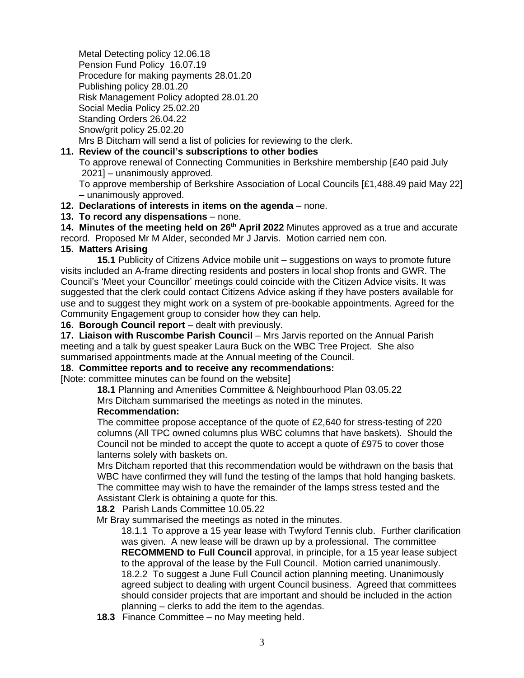Metal Detecting policy 12.06.18 Pension Fund Policy 16.07.19 Procedure for making payments 28.01.20 Publishing policy 28.01.20 Risk Management Policy adopted 28.01.20 Social Media Policy 25.02.20 Standing Orders 26.04.22 Snow/grit policy 25.02.20 Mrs B Ditcham will send a list of policies for reviewing to the clerk.

**11. Review of the council's subscriptions to other bodies** To approve renewal of Connecting Communities in Berkshire membership [£40 paid July 2021] – unanimously approved. To approve membership of Berkshire Association of Local Councils [£1,488.49 paid May 22]

– unanimously approved.

**12. Declarations of interests in items on the agenda** – none.

**13. To record any dispensations** – none.

**14. Minutes of the meeting held on 26th April 2022** Minutes approved as a true and accurate record. Proposed Mr M Alder, seconded Mr J Jarvis. Motion carried nem con.

#### **15. Matters Arising**

**15.1** Publicity of Citizens Advice mobile unit – suggestions on ways to promote future visits included an A-frame directing residents and posters in local shop fronts and GWR. The Council's 'Meet your Councillor' meetings could coincide with the Citizen Advice visits. It was suggested that the clerk could contact Citizens Advice asking if they have posters available for use and to suggest they might work on a system of pre-bookable appointments. Agreed for the Community Engagement group to consider how they can help.

**16. Borough Council report** – dealt with previously.

**17. Liaison with Ruscombe Parish Council** – Mrs Jarvis reported on the Annual Parish meeting and a talk by guest speaker Laura Buck on the WBC Tree Project. She also summarised appointments made at the Annual meeting of the Council.

### **18. Committee reports and to receive any recommendations:**

[Note: committee minutes can be found on the website]

**18.1** Planning and Amenities Committee & Neighbourhood Plan 03.05.22

Mrs Ditcham summarised the meetings as noted in the minutes.

#### **Recommendation:**

The committee propose acceptance of the quote of £2,640 for stress-testing of 220 columns (All TPC owned columns plus WBC columns that have baskets). Should the Council not be minded to accept the quote to accept a quote of £975 to cover those lanterns solely with baskets on.

Mrs Ditcham reported that this recommendation would be withdrawn on the basis that WBC have confirmed they will fund the testing of the lamps that hold hanging baskets. The committee may wish to have the remainder of the lamps stress tested and the Assistant Clerk is obtaining a quote for this.

**18.2** Parish Lands Committee 10.05.22

Mr Bray summarised the meetings as noted in the minutes.

18.1.1 To approve a 15 year lease with Twyford Tennis club. Further clarification was given. A new lease will be drawn up by a professional. The committee **RECOMMEND to Full Council** approval, in principle, for a 15 year lease subject to the approval of the lease by the Full Council. Motion carried unanimously. 18.2.2 To suggest a June Full Council action planning meeting. Unanimously agreed subject to dealing with urgent Council business. Agreed that committees should consider projects that are important and should be included in the action planning – clerks to add the item to the agendas.

**18.3** Finance Committee – no May meeting held.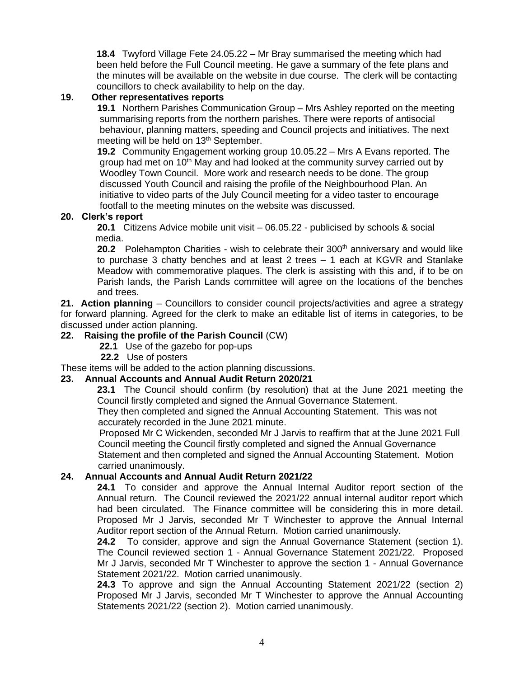**18.4** Twyford Village Fete 24.05.22 – Mr Bray summarised the meeting which had been held before the Full Council meeting. He gave a summary of the fete plans and the minutes will be available on the website in due course. The clerk will be contacting councillors to check availability to help on the day.

### **19. Other representatives reports**

**19.1** Northern Parishes Communication Group – Mrs Ashley reported on the meeting summarising reports from the northern parishes. There were reports of antisocial behaviour, planning matters, speeding and Council projects and initiatives. The next meeting will be held on 13<sup>th</sup> September.

**19.2** Community Engagement working group 10.05.22 – Mrs A Evans reported. The group had met on  $10<sup>th</sup>$  May and had looked at the community survey carried out by Woodley Town Council. More work and research needs to be done. The group discussed Youth Council and raising the profile of the Neighbourhood Plan. An initiative to video parts of the July Council meeting for a video taster to encourage footfall to the meeting minutes on the website was discussed.

#### **20. Clerk's report**

**20.1** Citizens Advice mobile unit visit – 06.05.22 - publicised by schools & social media.

**20.2** Polehampton Charities - wish to celebrate their 300<sup>th</sup> anniversary and would like to purchase 3 chatty benches and at least 2 trees – 1 each at KGVR and Stanlake Meadow with commemorative plaques. The clerk is assisting with this and, if to be on Parish lands, the Parish Lands committee will agree on the locations of the benches and trees.

**21. Action planning** – Councillors to consider council projects/activities and agree a strategy for forward planning. Agreed for the clerk to make an editable list of items in categories, to be discussed under action planning.

## **22. Raising the profile of the Parish Council** (CW)

**22.1** Use of the gazebo for pop-ups

**22.2** Use of posters

These items will be added to the action planning discussions.

#### **23. Annual Accounts and Annual Audit Return 2020/21**

**23.1** The Council should confirm (by resolution) that at the June 2021 meeting the Council firstly completed and signed the Annual Governance Statement.

 They then completed and signed the Annual Accounting Statement. This was not accurately recorded in the June 2021 minute.

 Proposed Mr C Wickenden, seconded Mr J Jarvis to reaffirm that at the June 2021 Full Council meeting the Council firstly completed and signed the Annual Governance Statement and then completed and signed the Annual Accounting Statement. Motion carried unanimously.

#### **24. Annual Accounts and Annual Audit Return 2021/22**

**24.1** To consider and approve the Annual Internal Auditor report section of the Annual return. The Council reviewed the 2021/22 annual internal auditor report which had been circulated. The Finance committee will be considering this in more detail. Proposed Mr J Jarvis, seconded Mr T Winchester to approve the Annual Internal Auditor report section of the Annual Return. Motion carried unanimously.

**24.2** To consider, approve and sign the Annual Governance Statement (section 1). The Council reviewed section 1 - Annual Governance Statement 2021/22. Proposed Mr J Jarvis, seconded Mr T Winchester to approve the section 1 - Annual Governance Statement 2021/22. Motion carried unanimously.

**24.3** To approve and sign the Annual Accounting Statement 2021/22 (section 2) Proposed Mr J Jarvis, seconded Mr T Winchester to approve the Annual Accounting Statements 2021/22 (section 2). Motion carried unanimously.